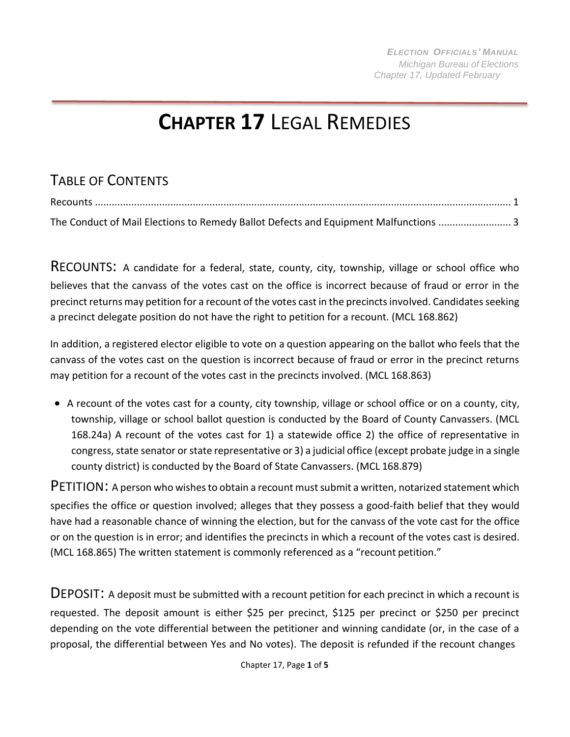## **CHAPTER 17** LEGAL REMEDIES

## TABLE OF CONTENTS

| The Conduct of Mail Elections to Remedy Ballot Defects and Equipment Malfunctions  3 |  |
|--------------------------------------------------------------------------------------|--|

<span id="page-0-0"></span>RECOUNTS: A candidate for a federal, state, county, city, township, village or school office who believes that the canvass of the votes cast on the office is incorrect because of fraud or error in the precinct returns may petition for a recount of the votes cast in the precincts involved. Candidates seeking a precinct delegate position do not have the right to petition for a recount. (MCL 168.862)

In addition, a registered elector eligible to vote on a question appearing on the ballot who feels that the canvass of the votes cast on the question is incorrect because of fraud or error in the precinct returns may petition for a recount of the votes cast in the precincts involved. (MCL 168.863)

• A recount of the votes cast for a county, city township, village or school office or on a county, city, township, village or school ballot question is conducted by the Board of County Canvassers. (MCL 168.24a) A recount of the votes cast for 1) a statewide office 2) the office of representative in congress, state senator or state representative or 3) a judicial office (except probate judge in a single county district) is conducted by the Board of State Canvassers. (MCL 168.879)

PETITION: A person who wishes to obtain a recount must submit a written, notarized statement which specifies the office or question involved; alleges that they possess a good-faith belief that they would have had a reasonable chance of winning the election, but for the canvass of the vote cast for the office or on the question is in error; and identifies the precincts in which a recount of the votes cast is desired. (MCL 168.865) The written statement is commonly referenced as a "recount petition."

DEPOSIT: A deposit must be submitted with a recount petition for each precinct in which a recount is requested. The deposit amount is either \$25 per precinct, \$125 per precinct or \$250 per precinct depending on the vote differential between the petitioner and winning candidate (or, in the case of a proposal, the differential between Yes and No votes). The deposit is refunded if the recount changes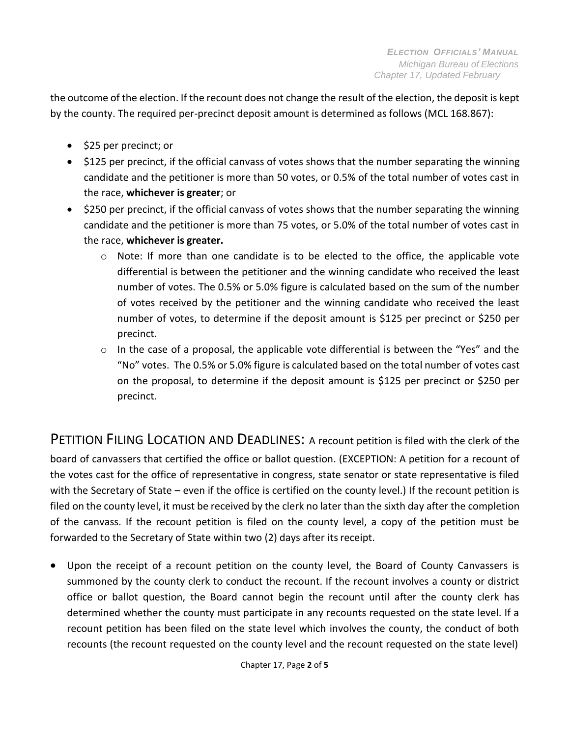the outcome of the election. If the recount does not change the result of the election, the deposit is kept by the county. The required per-precinct deposit amount is determined as follows (MCL 168.867):

- \$25 per precinct; or
- \$125 per precinct, if the official canvass of votes shows that the number separating the winning candidate and the petitioner is more than 50 votes, or 0.5% of the total number of votes cast in the race, **whichever is greater**; or
- \$250 per precinct, if the official canvass of votes shows that the number separating the winning candidate and the petitioner is more than 75 votes, or 5.0% of the total number of votes cast in the race, **whichever is greater.**
	- o Note: If more than one candidate is to be elected to the office, the applicable vote differential is between the petitioner and the winning candidate who received the least number of votes. The 0.5% or 5.0% figure is calculated based on the sum of the number of votes received by the petitioner and the winning candidate who received the least number of votes, to determine if the deposit amount is \$125 per precinct or \$250 per precinct.
	- $\circ$  In the case of a proposal, the applicable vote differential is between the "Yes" and the "No" votes. The 0.5% or 5.0% figure is calculated based on the total number of votes cast on the proposal, to determine if the deposit amount is \$125 per precinct or \$250 per precinct.

PETITION FILING LOCATION AND DEADLINES: A recount petition is filed with the clerk of the board of canvassers that certified the office or ballot question. (EXCEPTION: A petition for a recount of the votes cast for the office of representative in congress, state senator or state representative is filed with the Secretary of State – even if the office is certified on the county level.) If the recount petition is filed on the county level, it must be received by the clerk no later than the sixth day after the completion of the canvass. If the recount petition is filed on the county level, a copy of the petition must be forwarded to the Secretary of State within two (2) days after its receipt.

• Upon the receipt of a recount petition on the county level, the Board of County Canvassers is summoned by the county clerk to conduct the recount. If the recount involves a county or district office or ballot question, the Board cannot begin the recount until after the county clerk has determined whether the county must participate in any recounts requested on the state level. If a recount petition has been filed on the state level which involves the county, the conduct of both recounts (the recount requested on the county level and the recount requested on the state level)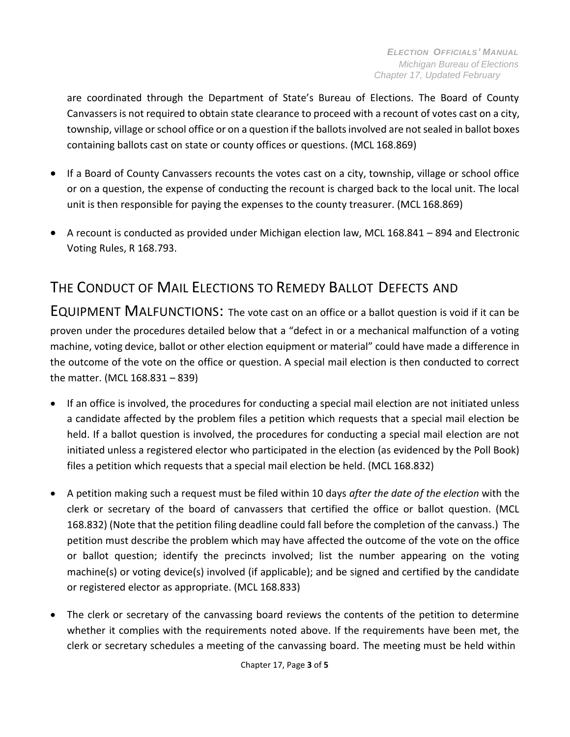are coordinated through the Department of State's Bureau of Elections. The Board of County Canvassers is not required to obtain state clearance to proceed with a recount of votes cast on a city, township, village or school office or on a question if the ballotsinvolved are not sealed in ballot boxes containing ballots cast on state or county offices or questions. (MCL 168.869)

- If a Board of County Canvassers recounts the votes cast on a city, township, village or school office or on a question, the expense of conducting the recount is charged back to the local unit. The local unit is then responsible for paying the expenses to the county treasurer. (MCL 168.869)
- A recount is conducted as provided under Michigan election law, MCL 168.841 894 and Electronic Voting Rules, R 168.793.

## <span id="page-2-0"></span>THE CONDUCT OF MAIL ELECTIONS TO REMEDY BALLOT DEFECTS AND

EQUIPMENT MALFUNCTIONS: The vote cast on an office or a ballot question is void if it can be proven under the procedures detailed below that a "defect in or a mechanical malfunction of a voting machine, voting device, ballot or other election equipment or material" could have made a difference in the outcome of the vote on the office or question. A special mail election is then conducted to correct the matter. (MCL 168.831 – 839)

- If an office is involved, the procedures for conducting a special mail election are not initiated unless a candidate affected by the problem files a petition which requests that a special mail election be held. If a ballot question is involved, the procedures for conducting a special mail election are not initiated unless a registered elector who participated in the election (as evidenced by the Poll Book) files a petition which requests that a special mail election be held. (MCL 168.832)
- A petition making such a request must be filed within 10 days *after the date of the election* with the clerk or secretary of the board of canvassers that certified the office or ballot question. (MCL 168.832) (Note that the petition filing deadline could fall before the completion of the canvass.) The petition must describe the problem which may have affected the outcome of the vote on the office or ballot question; identify the precincts involved; list the number appearing on the voting machine(s) or voting device(s) involved (if applicable); and be signed and certified by the candidate or registered elector as appropriate. (MCL 168.833)
- The clerk or secretary of the canvassing board reviews the contents of the petition to determine whether it complies with the requirements noted above. If the requirements have been met, the clerk or secretary schedules a meeting of the canvassing board. The meeting must be held within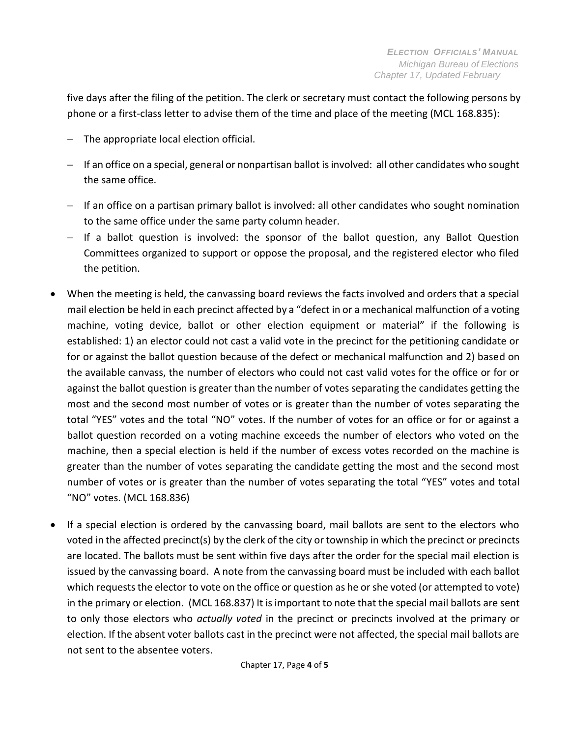five days after the filing of the petition. The clerk or secretary must contact the following persons by phone or a first-class letter to advise them of the time and place of the meeting (MCL 168.835):

- The appropriate local election official.
- − If an office on a special, general or nonpartisan ballot isinvolved: all other candidates who sought the same office.
- − If an office on a partisan primary ballot is involved: all other candidates who sought nomination to the same office under the same party column header.
- − If a ballot question is involved: the sponsor of the ballot question, any Ballot Question Committees organized to support or oppose the proposal, and the registered elector who filed the petition.
- When the meeting is held, the canvassing board reviews the facts involved and orders that a special mail election be held in each precinct affected by a "defect in or a mechanical malfunction of a voting machine, voting device, ballot or other election equipment or material" if the following is established: 1) an elector could not cast a valid vote in the precinct for the petitioning candidate or for or against the ballot question because of the defect or mechanical malfunction and 2) based on the available canvass, the number of electors who could not cast valid votes for the office or for or against the ballot question is greater than the number of votes separating the candidates getting the most and the second most number of votes or is greater than the number of votes separating the total "YES" votes and the total "NO" votes. If the number of votes for an office or for or against a ballot question recorded on a voting machine exceeds the number of electors who voted on the machine, then a special election is held if the number of excess votes recorded on the machine is greater than the number of votes separating the candidate getting the most and the second most number of votes or is greater than the number of votes separating the total "YES" votes and total "NO" votes. (MCL 168.836)
- If a special election is ordered by the canvassing board, mail ballots are sent to the electors who voted in the affected precinct(s) by the clerk of the city or township in which the precinct or precincts are located. The ballots must be sent within five days after the order for the special mail election is issued by the canvassing board. A note from the canvassing board must be included with each ballot which requests the elector to vote on the office or question as he or she voted (or attempted to vote) in the primary or election. (MCL 168.837) It is important to note that the special mail ballots are sent to only those electors who *actually voted* in the precinct or precincts involved at the primary or election. If the absent voter ballots cast in the precinct were not affected, the special mail ballots are not sent to the absentee voters.